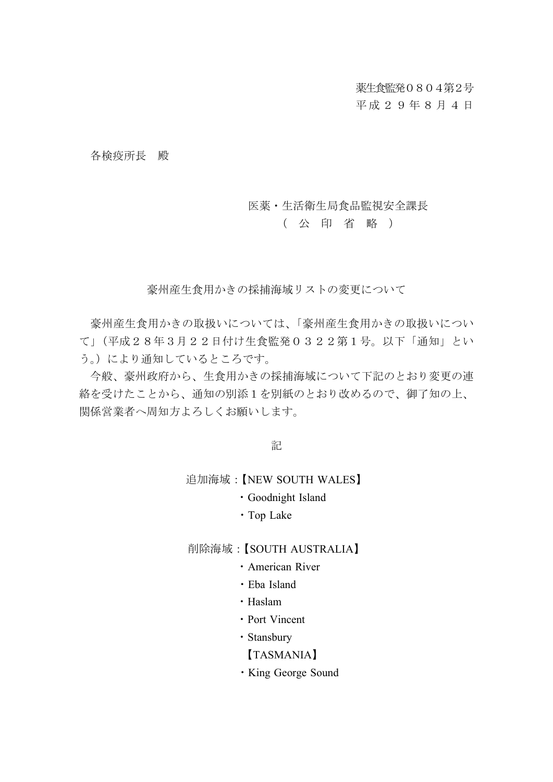薬生食監発0804第2号

## 平 成 2 9 年 8 月 4 日

各検疫所長 殿

## 医薬・生活衛生局食品監視安全課長

( 公 印 省 略 )

豪州産生食用かきの採捕海域リストの変更について

豪州産生食用かきの取扱いについては、「豪州産生食用かきの取扱いについ て」(平成28年3月22日付け生食監発0322第1号。以下「通知」とい う。)により通知しているところです。

今般、豪州政府から、生食用かきの採捕海域について下記のとおり変更の連 絡を受けたことから、通知の別添1を別紙のとおり改めるので、御了知の上、 関係営業者へ周知方よろしくお願いします。

記

## 追加海域:【NEW SOUTH WALES】

- ・Goodnight Island
- ・Top Lake

## 削除海域:【SOUTH AUSTRALIA】

- ・American River
- ・Eba Island
- ・Haslam
- ・Port Vincent
- ・Stansbury
- 【TASMANIA】
- ・King George Sound